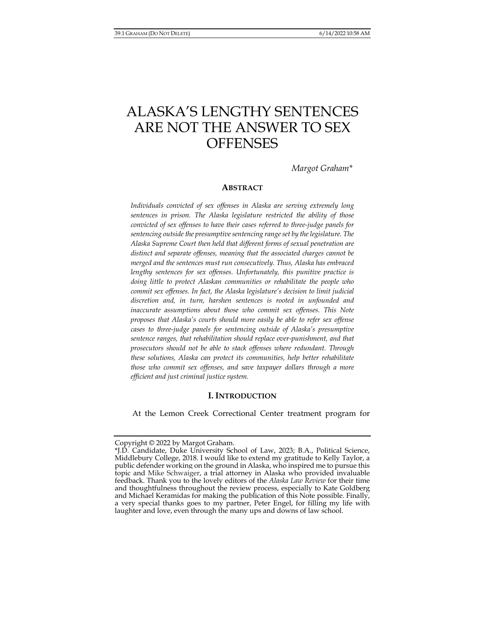# ALASKA'S LENGTHY SENTENCES ARE NOT THE ANSWER TO SEX **OFFENSES**

*Margot Graham\** 

## **ABSTRACT**

*Individuals convicted of sex offenses in Alaska are serving extremely long sentences in prison. The Alaska legislature restricted the ability of those convicted of sex offenses to have their cases referred to three-judge panels for sentencing outside the presumptive sentencing range set by the legislature. The Alaska Supreme Court then held that different forms of sexual penetration are distinct and separate offenses, meaning that the associated charges cannot be merged and the sentences must run consecutively. Thus, Alaska has embraced*  lengthy sentences for sex offenses. Unfortunately, this punitive practice is *doing little to protect Alaskan communities or rehabilitate the people who commit sex offenses. In fact, the Alaska legislature's decision to limit judicial discretion and, in turn, harshen sentences is rooted in unfounded and inaccurate assumptions about those who commit sex offenses. This Note proposes that Alaska's courts should more easily be able to refer sex offense cases to three-judge panels for sentencing outside of Alaska's presumptive sentence ranges, that rehabilitation should replace over-punishment, and that prosecutors should not be able to stack offenses where redundant. Through these solutions, Alaska can protect its communities, help better rehabilitate those who commit sex offenses, and save taxpayer dollars through a more efficient and just criminal justice system.* 

### **I. INTRODUCTION**

At the Lemon Creek Correctional Center treatment program for

Copyright © 2022 by Margot Graham.

<sup>\*</sup>J.D. Candidate, Duke University School of Law, 2023; B.A., Political Science, Middlebury College, 2018. I would like to extend my gratitude to Kelly Taylor, a public defender working on the ground in Alaska, who inspired me to pursue this topic and Mike Schwaiger, a trial attorney in Alaska who provided invaluable feedback. Thank you to the lovely editors of the *Alaska Law Review* for their time and thoughtfulness throughout the review process, especially to Kate Goldberg and Michael Keramidas for making the publication of this Note possible. Finally, a very special thanks goes to my partner, Peter Engel, for filling my life with laughter and love, even through the many ups and downs of law school.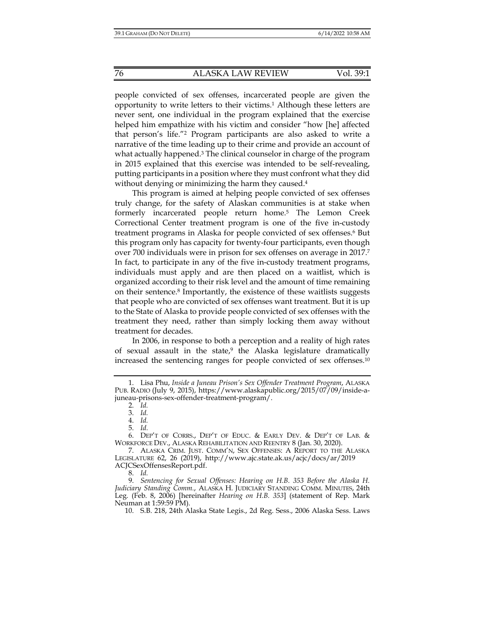people convicted of sex offenses, incarcerated people are given the opportunity to write letters to their victims.1 Although these letters are never sent, one individual in the program explained that the exercise helped him empathize with his victim and consider "how [he] affected that person's life."2 Program participants are also asked to write a narrative of the time leading up to their crime and provide an account of what actually happened.3 The clinical counselor in charge of the program in 2015 explained that this exercise was intended to be self-revealing, putting participants in a position where they must confront what they did without denying or minimizing the harm they caused.<sup>4</sup>

This program is aimed at helping people convicted of sex offenses truly change, for the safety of Alaskan communities is at stake when formerly incarcerated people return home.5 The Lemon Creek Correctional Center treatment program is one of the five in-custody treatment programs in Alaska for people convicted of sex offenses.<sup>6</sup> But this program only has capacity for twenty-four participants, even though over 700 individuals were in prison for sex offenses on average in 2017.7 In fact, to participate in any of the five in-custody treatment programs, individuals must apply and are then placed on a waitlist, which is organized according to their risk level and the amount of time remaining on their sentence.8 Importantly, the existence of these waitlists suggests that people who are convicted of sex offenses want treatment. But it is up to the State of Alaska to provide people convicted of sex offenses with the treatment they need, rather than simply locking them away without treatment for decades.

In 2006, in response to both a perception and a reality of high rates of sexual assault in the state,<sup>9</sup> the Alaska legislature dramatically increased the sentencing ranges for people convicted of sex offenses.10

2. *Id.* 

3. *Id.* 

4. *Id.* 

5. *Id.*

8. *Id.* 

10. S.B. 218, 24th Alaska State Legis., 2d Reg. Sess., 2006 Alaska Sess. Laws

 <sup>1.</sup> Lisa Phu, *Inside a Juneau Prison's Sex Offender Treatment Program*, ALASKA PUB. RADIO (July 9, 2015), https://www.alaskapublic.org/2015/07/09/inside-ajuneau-prisons-sex-offender-treatment-program/.

 <sup>6.</sup> DEP'T OF CORRS., DEP'T OF EDUC. & EARLY DEV. & DEP'T OF LAB. & WORKFORCE DEV., ALASKA REHABILITATION AND REENTRY 8 (Jan. 30, 2020).

 <sup>7.</sup> ALASKA CRIM. JUST. COMM'N, SEX OFFENSES: A REPORT TO THE ALASKA LEGISLATURE 62, 26 (2019), http://www.ajc.state.ak.us/acjc/docs/ar/2019 ACJCSexOffensesReport.pdf.

 <sup>9.</sup> *Sentencing for Sexual Offenses: Hearing on H.B. 353 Before the Alaska H. Judiciary Standing Comm.*, ALASKA H. JUDICIARY STANDING COMM. MINUTES, 24th Leg. (Feb. 8, 2006) [hereinafter *Hearing on H.B. 353*] (statement of Rep. Mark Neuman at 1:59:59 PM).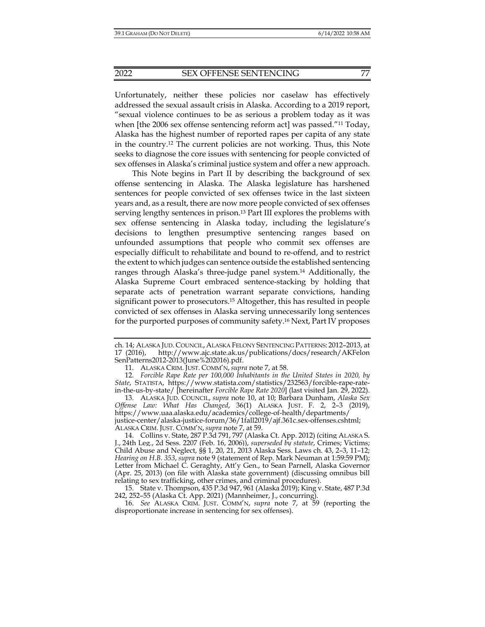Unfortunately, neither these policies nor caselaw has effectively addressed the sexual assault crisis in Alaska. According to a 2019 report, "sexual violence continues to be as serious a problem today as it was when [the 2006 sex offense sentencing reform act] was passed."11 Today, Alaska has the highest number of reported rapes per capita of any state in the country.12 The current policies are not working. Thus, this Note seeks to diagnose the core issues with sentencing for people convicted of sex offenses in Alaska's criminal justice system and offer a new approach.

This Note begins in Part II by describing the background of sex offense sentencing in Alaska. The Alaska legislature has harshened sentences for people convicted of sex offenses twice in the last sixteen years and, as a result, there are now more people convicted of sex offenses serving lengthy sentences in prison.<sup>13</sup> Part III explores the problems with sex offense sentencing in Alaska today, including the legislature's decisions to lengthen presumptive sentencing ranges based on unfounded assumptions that people who commit sex offenses are especially difficult to rehabilitate and bound to re-offend, and to restrict the extent to which judges can sentence outside the established sentencing ranges through Alaska's three-judge panel system.14 Additionally, the Alaska Supreme Court embraced sentence-stacking by holding that separate acts of penetration warrant separate convictions, handing significant power to prosecutors.15 Altogether, this has resulted in people convicted of sex offenses in Alaska serving unnecessarily long sentences for the purported purposes of community safety.16 Next, Part IV proposes

ch. 14; ALASKA JUD. COUNCIL, ALASKA FELONY SENTENCING PATTERNS: 2012–2013, at 17 (2016), http://www.ajc.state.ak.us/publications/docs/research/AKFelon SenPatterns2012-2013(June%202016).pdf.

 <sup>11.</sup> ALASKA CRIM. JUST. COMM'N, *supra* note 7, at 58.

 <sup>12.</sup> *Forcible Rape Rate per 100,000 Inhabitants in the United States in 2020, by State*, STATISTA, https://www.statista.com/statistics/232563/forcible-rape-ratein-the-us-by-state/ [hereinafter *Forcible Rape Rate 2020*] (last visited Jan. 29, 2022).

 <sup>13.</sup> ALASKA JUD. COUNCIL, *supra* note 10, at 10; Barbara Dunham, *Alaska Sex Offense Law: What Has Changed*, 36(1) ALASKA JUST. F. 2, 2–3 (2019), https://www.uaa.alaska.edu/academics/college-of-health/departments/ justice-center/alaska-justice-forum/36/1fall2019/ajf.361c.sex-offenses.cshtml; ALASKA CRIM. JUST. COMM'N, *supra* note 7, at 59.

 <sup>14.</sup> Collins v. State, 287 P.3d 791, 797 (Alaska Ct. App. 2012) (citing ALASKA S. J., 24th Leg., 2d Sess. 2207 (Feb. 16, 2006)), *superseded by statute*, Crimes; Victims; Child Abuse and Neglect, §§ 1, 20, 21, 2013 Alaska Sess. Laws ch. 43, 2–3, 11–12; *Hearing on H.B. 353*, *supra* note 9 (statement of Rep. Mark Neuman at 1:59:59 PM); Letter from Michael C. Geraghty, Att'y Gen., to Sean Parnell, Alaska Governor (Apr. 25, 2013) (on file with Alaska state government) (discussing omnibus bill relating to sex trafficking, other crimes, and criminal procedures).

 <sup>15.</sup> State v. Thompson, 435 P.3d 947, 961 (Alaska 2019); King v. State, 487 P.3d 242, 252–55 (Alaska Ct. App. 2021) (Mannheimer, J., concurring).

 <sup>16.</sup> *See* ALASKA CRIM. JUST. COMM'N, *supra* note 7, at 59 (reporting the disproportionate increase in sentencing for sex offenses).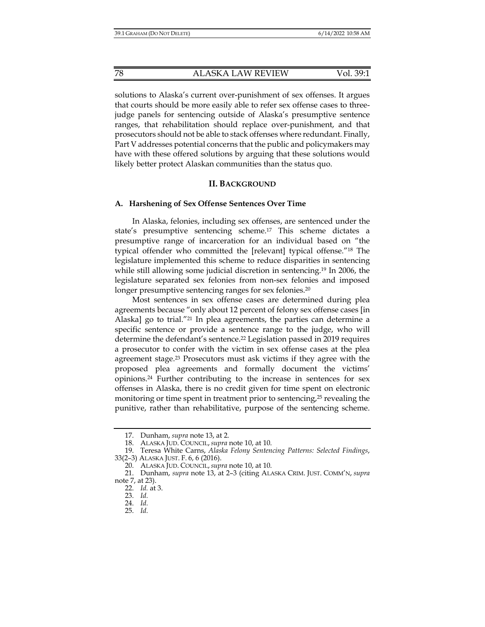solutions to Alaska's current over-punishment of sex offenses. It argues that courts should be more easily able to refer sex offense cases to threejudge panels for sentencing outside of Alaska's presumptive sentence ranges, that rehabilitation should replace over-punishment, and that prosecutors should not be able to stack offenses where redundant. Finally, Part V addresses potential concerns that the public and policymakers may have with these offered solutions by arguing that these solutions would likely better protect Alaskan communities than the status quo.

## **II. BACKGROUND**

#### **A. Harshening of Sex Offense Sentences Over Time**

In Alaska, felonies, including sex offenses, are sentenced under the state's presumptive sentencing scheme.17 This scheme dictates a presumptive range of incarceration for an individual based on "the typical offender who committed the [relevant] typical offense."18 The legislature implemented this scheme to reduce disparities in sentencing while still allowing some judicial discretion in sentencing.19 In 2006, the legislature separated sex felonies from non-sex felonies and imposed longer presumptive sentencing ranges for sex felonies.<sup>20</sup>

Most sentences in sex offense cases are determined during plea agreements because "only about 12 percent of felony sex offense cases [in Alaska] go to trial."21 In plea agreements, the parties can determine a specific sentence or provide a sentence range to the judge, who will determine the defendant's sentence.22 Legislation passed in 2019 requires a prosecutor to confer with the victim in sex offense cases at the plea agreement stage.23 Prosecutors must ask victims if they agree with the proposed plea agreements and formally document the victims' opinions.24 Further contributing to the increase in sentences for sex offenses in Alaska, there is no credit given for time spent on electronic monitoring or time spent in treatment prior to sentencing,<sup>25</sup> revealing the punitive, rather than rehabilitative, purpose of the sentencing scheme.

 <sup>17.</sup> Dunham, *supra* note 13, at 2.

 <sup>18.</sup> ALASKA JUD. COUNCIL, *supra* note 10, at 10.

 <sup>19.</sup> Teresa White Carns, *Alaska Felony Sentencing Patterns: Selected Findings*, 33(2–3) ALASKA JUST. F. 6, 6 (2016).

 <sup>20.</sup> ALASKA JUD. COUNCIL, *supra* note 10, at 10.

 <sup>21.</sup> Dunham, *supra* note 13, at 2–3 (citing ALASKA CRIM. JUST. COMM'N, *supra*  note 7, at 23).

 <sup>22.</sup> *Id.* at 3.

 <sup>23.</sup> *Id.*

 <sup>24.</sup> *Id.*

 <sup>25.</sup> *Id.*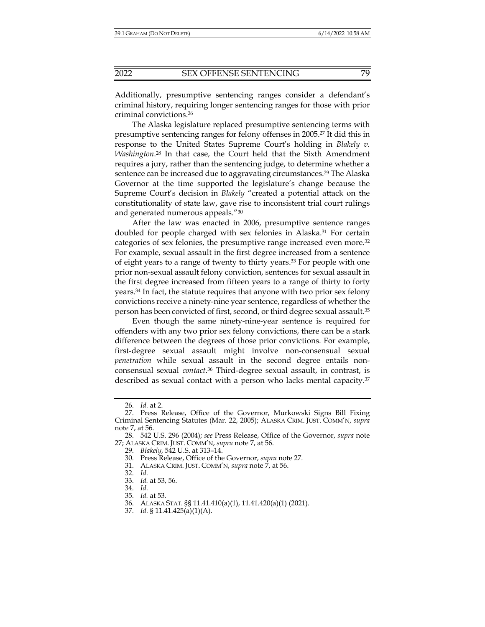Additionally, presumptive sentencing ranges consider a defendant's criminal history, requiring longer sentencing ranges for those with prior criminal convictions.26

The Alaska legislature replaced presumptive sentencing terms with presumptive sentencing ranges for felony offenses in 2005.27 It did this in response to the United States Supreme Court's holding in *Blakely v. Washington*. 28 In that case, the Court held that the Sixth Amendment requires a jury, rather than the sentencing judge, to determine whether a sentence can be increased due to aggravating circumstances.<sup>29</sup> The Alaska Governor at the time supported the legislature's change because the Supreme Court's decision in *Blakely* "created a potential attack on the constitutionality of state law, gave rise to inconsistent trial court rulings and generated numerous appeals."30

After the law was enacted in 2006, presumptive sentence ranges doubled for people charged with sex felonies in Alaska.31 For certain categories of sex felonies, the presumptive range increased even more.32 For example, sexual assault in the first degree increased from a sentence of eight years to a range of twenty to thirty years.33 For people with one prior non-sexual assault felony conviction, sentences for sexual assault in the first degree increased from fifteen years to a range of thirty to forty years.34 In fact, the statute requires that anyone with two prior sex felony convictions receive a ninety-nine year sentence, regardless of whether the person has been convicted of first, second, or third degree sexual assault.35

Even though the same ninety-nine-year sentence is required for offenders with any two prior sex felony convictions, there can be a stark difference between the degrees of those prior convictions. For example, first-degree sexual assault might involve non-consensual sexual *penetration* while sexual assault in the second degree entails nonconsensual sexual *contact*. 36 Third-degree sexual assault, in contrast, is described as sexual contact with a person who lacks mental capacity.<sup>37</sup>

 <sup>26.</sup> *Id.* at 2.

 <sup>27.</sup> Press Release, Office of the Governor, Murkowski Signs Bill Fixing Criminal Sentencing Statutes (Mar. 22, 2005); ALASKA CRIM. JUST. COMM'N, *supra* note 7, at 56.

 <sup>28. 542</sup> U.S. 296 (2004); *see* Press Release, Office of the Governor, *supra* note 27; ALASKA CRIM. JUST. COMM'N, *supra* note 7, at 56.

 <sup>29.</sup> *Blakely*, 542 U.S. at 313–14.

 <sup>30.</sup> Press Release, Office of the Governor, *supra* note 27.

 <sup>31.</sup> ALASKA CRIM. JUST. COMM'N, *supra* note 7, at 56.

 <sup>32.</sup> *Id.*

 <sup>33.</sup> *Id.* at 53, 56.

 <sup>34.</sup> *Id.*

 <sup>35.</sup> *Id.* at 53*.*

 <sup>36.</sup> ALASKA STAT. §§ 11.41.410(a)(1), 11.41.420(a)(1) (2021).

 <sup>37.</sup> *Id.* § 11.41.425(a)(1)(A).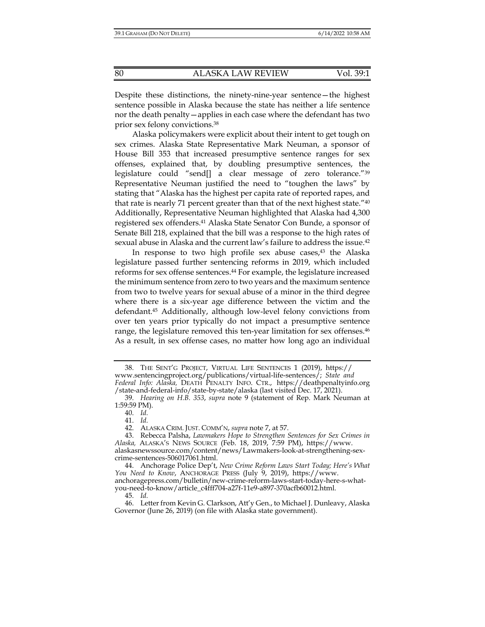Despite these distinctions, the ninety-nine-year sentence—the highest sentence possible in Alaska because the state has neither a life sentence nor the death penalty—applies in each case where the defendant has two prior sex felony convictions.38

Alaska policymakers were explicit about their intent to get tough on sex crimes. Alaska State Representative Mark Neuman, a sponsor of House Bill 353 that increased presumptive sentence ranges for sex offenses, explained that, by doubling presumptive sentences, the legislature could "send[] a clear message of zero tolerance."39 Representative Neuman justified the need to "toughen the laws" by stating that "Alaska has the highest per capita rate of reported rapes, and that rate is nearly 71 percent greater than that of the next highest state."40 Additionally, Representative Neuman highlighted that Alaska had 4,300 registered sex offenders.41 Alaska State Senator Con Bunde, a sponsor of Senate Bill 218, explained that the bill was a response to the high rates of sexual abuse in Alaska and the current law's failure to address the issue.42

In response to two high profile sex abuse cases,<sup>43</sup> the Alaska legislature passed further sentencing reforms in 2019, which included reforms for sex offense sentences.44 For example, the legislature increased the minimum sentence from zero to two years and the maximum sentence from two to twelve years for sexual abuse of a minor in the third degree where there is a six-year age difference between the victim and the defendant.45 Additionally, although low-level felony convictions from over ten years prior typically do not impact a presumptive sentence range, the legislature removed this ten-year limitation for sex offenses.<sup>46</sup> As a result, in sex offense cases, no matter how long ago an individual

40. *Id.*

41. *Id.*

 44. Anchorage Police Dep't, *New Crime Reform Laws Start Today; Here's What You Need to Know*, ANCHORAGE PRESS (July 9, 2019), https://www. anchoragepress.com/bulletin/new-crime-reform-laws-start-today-here-s-whatyou-need-to-know/article\_c4fff704-a27f-11e9-a897-370acfb60012.html.

45. *Id.*

 <sup>38.</sup> THE SENT'G PROJECT, VIRTUAL LIFE SENTENCES 1 (2019), https:// www.sentencingproject.org/publications/virtual-life-sentences/; *State and Federal Info: Alaska,* DEATH PENALTY INFO. CTR., https://deathpenaltyinfo.org /state-and-federal-info/state-by-state/alaska (last visited Dec. 17, 2021).

 <sup>39.</sup> *Hearing on H.B. 353*, *supra* note 9 (statement of Rep. Mark Neuman at 1:59:59 PM).

 <sup>42.</sup> ALASKA CRIM. JUST. COMM'N, *supra* note 7, at 57.

 <sup>43.</sup> Rebecca Palsha, *Lawmakers Hope to Strengthen Sentences for Sex Crimes in Alaska,* ALASKA'S NEWS SOURCE (Feb. 18, 2019, 7:59 PM), https://www. alaskasnewssource.com/content/news/Lawmakers-look-at-strengthening-sexcrime-sentences-506017061.html.

 <sup>46.</sup> Letter from Kevin G. Clarkson, Att'y Gen., to Michael J. Dunleavy, Alaska Governor (June 26, 2019) (on file with Alaska state government).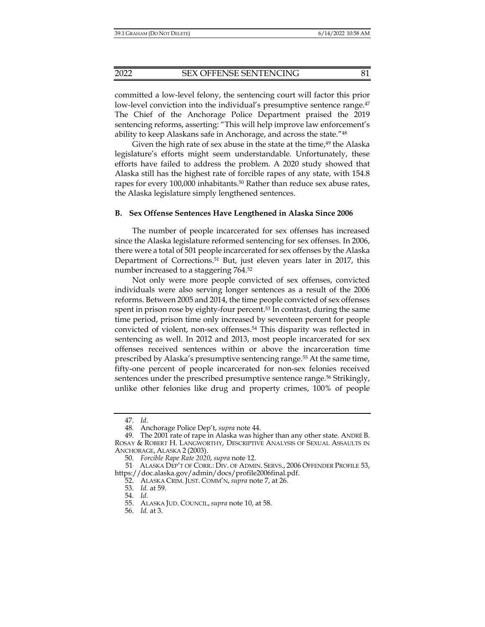committed a low-level felony, the sentencing court will factor this prior low-level conviction into the individual's presumptive sentence range.<sup>47</sup> The Chief of the Anchorage Police Department praised the 2019 sentencing reforms, asserting: "This will help improve law enforcement's ability to keep Alaskans safe in Anchorage, and across the state."48

Given the high rate of sex abuse in the state at the time, $49$  the Alaska legislature's efforts might seem understandable. Unfortunately, these efforts have failed to address the problem. A 2020 study showed that Alaska still has the highest rate of forcible rapes of any state, with 154.8 rapes for every 100,000 inhabitants.<sup>50</sup> Rather than reduce sex abuse rates, the Alaska legislature simply lengthened sentences.

#### **B. Sex Offense Sentences Have Lengthened in Alaska Since 2006**

The number of people incarcerated for sex offenses has increased since the Alaska legislature reformed sentencing for sex offenses. In 2006, there were a total of 501 people incarcerated for sex offenses by the Alaska Department of Corrections.51 But, just eleven years later in 2017, this number increased to a staggering 764.52

Not only were more people convicted of sex offenses, convicted individuals were also serving longer sentences as a result of the 2006 reforms. Between 2005 and 2014, the time people convicted of sex offenses spent in prison rose by eighty-four percent.<sup>53</sup> In contrast, during the same time period, prison time only increased by seventeen percent for people convicted of violent, non-sex offenses.54 This disparity was reflected in sentencing as well. In 2012 and 2013, most people incarcerated for sex offenses received sentences within or above the incarceration time prescribed by Alaska's presumptive sentencing range.55 At the same time, fifty-one percent of people incarcerated for non-sex felonies received sentences under the prescribed presumptive sentence range.<sup>56</sup> Strikingly, unlike other felonies like drug and property crimes, 100% of people

 <sup>47.</sup> *Id.*

 <sup>48.</sup> Anchorage Police Dep't, *supra* note 44.

 <sup>49.</sup> The 2001 rate of rape in Alaska was higher than any other state. ANDRÉ B. ROSAY & ROBERT H. LANGWORTHY, DESCRIPTIVE ANALYSIS OF SEXUAL ASSAULTS IN ANCHORAGE, ALASKA 2 (2003).

 <sup>50.</sup> *Forcible Rape Rate 2020*, *supra* note 12.

<sup>51.</sup> ALASKA DEP'T OF CORR.: DIV. OF ADMIN. SERVS., 2006 OFFENDER PROFILE 53, https://doc.alaska.gov/admin/docs/profile2006final.pdf.

 <sup>52.</sup> ALASKA CRIM. JUST. COMM'N, *supra* note 7, at 26.

 <sup>53.</sup> *Id.* at 59.

 <sup>54.</sup> *Id.*

 <sup>55.</sup> ALASKA JUD. COUNCIL, *supra* note 10, at 58.

 <sup>56.</sup> *Id.* at 3.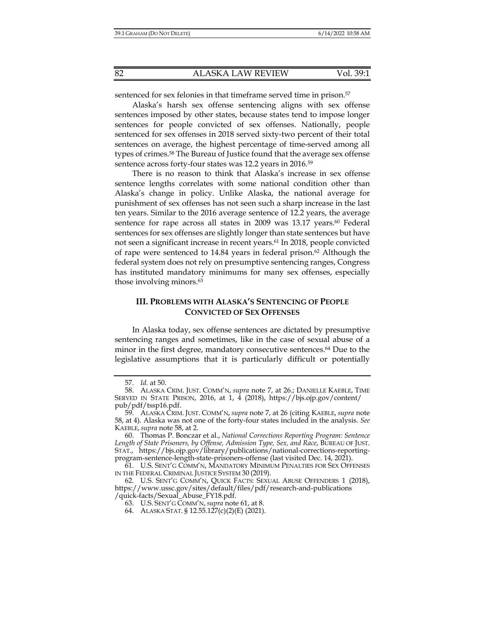sentenced for sex felonies in that timeframe served time in prison.<sup>57</sup>

Alaska's harsh sex offense sentencing aligns with sex offense sentences imposed by other states, because states tend to impose longer sentences for people convicted of sex offenses. Nationally, people sentenced for sex offenses in 2018 served sixty-two percent of their total sentences on average, the highest percentage of time-served among all types of crimes.58 The Bureau of Justice found that the average sex offense sentence across forty-four states was 12.2 years in 2016.<sup>59</sup>

There is no reason to think that Alaska's increase in sex offense sentence lengths correlates with some national condition other than Alaska's change in policy. Unlike Alaska, the national average for punishment of sex offenses has not seen such a sharp increase in the last ten years. Similar to the 2016 average sentence of 12.2 years, the average sentence for rape across all states in 2009 was 13.17 years.<sup>60</sup> Federal sentences for sex offenses are slightly longer than state sentences but have not seen a significant increase in recent years.61 In 2018, people convicted of rape were sentenced to  $14.84$  years in federal prison.<sup>62</sup> Although the federal system does not rely on presumptive sentencing ranges, Congress has instituted mandatory minimums for many sex offenses, especially those involving minors.63

# **III. PROBLEMS WITH ALASKA'S SENTENCING OF PEOPLE CONVICTED OF SEX OFFENSES**

In Alaska today, sex offense sentences are dictated by presumptive sentencing ranges and sometimes, like in the case of sexual abuse of a minor in the first degree, mandatory consecutive sentences.<sup>64</sup> Due to the legislative assumptions that it is particularly difficult or potentially

 <sup>57.</sup> *Id.* at 50.

 <sup>58.</sup> ALASKA CRIM. JUST. COMM'N, *supra* note 7, at 26.; DANIELLE KAEBLE, TIME SERVED IN STATE PRISON, 2016, at 1, 4 (2018), https://bjs.ojp.gov/content/ pub/pdf/tssp16.pdf.

 <sup>59.</sup> ALASKA CRIM. JUST. COMM'N, *supra* note 7, at 26 (citing KAEBLE, *supra* note 58, at 4). Alaska was not one of the forty-four states included in the analysis. *See*  KAEBLE, *supra* note 58, at 2.

 <sup>60.</sup> Thomas P. Bonczar et al., *National Corrections Reporting Program: Sentence Length of State Prisoners, by Offense, Admission Type, Sex, and Race*, BUREAU OF JUST. STAT., https://bjs.ojp.gov/library/publications/national-corrections-reportingprogram-sentence-length-state-prisoners-offense (last visited Dec. 14, 2021).

 <sup>61.</sup> U.S. SENT'G COMM'N, MANDATORY MINIMUM PENALTIES FOR SEX OFFENSES IN THE FEDERAL CRIMINAL JUSTICE SYSTEM 30 (2019).

 <sup>62.</sup> U.S. SENT'G COMM'N, QUICK FACTS: SEXUAL ABUSE OFFENDERS 1 (2018), https://www.ussc.gov/sites/default/files/pdf/research-and-publications /quick-facts/Sexual\_Abuse\_FY18.pdf.

 <sup>63.</sup> U.S. SENT'G COMM'N, *supra* note 61, at 8.

 <sup>64.</sup> ALASKA STAT. § 12.55.127(c)(2)(E) (2021).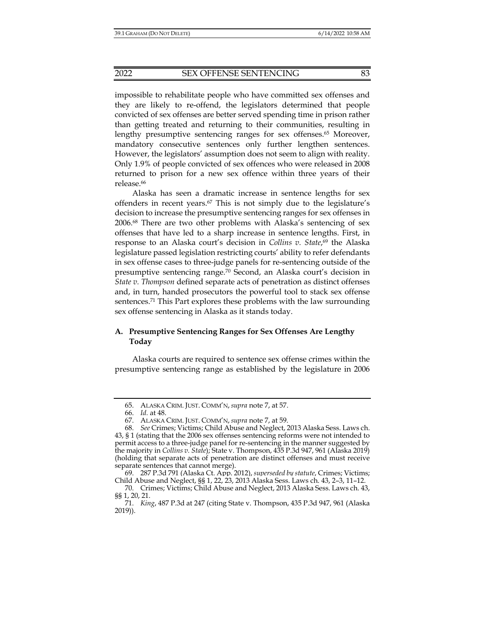impossible to rehabilitate people who have committed sex offenses and they are likely to re-offend, the legislators determined that people convicted of sex offenses are better served spending time in prison rather than getting treated and returning to their communities, resulting in lengthy presumptive sentencing ranges for sex offenses.<sup>65</sup> Moreover, mandatory consecutive sentences only further lengthen sentences. However, the legislators' assumption does not seem to align with reality. Only 1.9% of people convicted of sex offences who were released in 2008 returned to prison for a new sex offence within three years of their release.<sup>66</sup>

Alaska has seen a dramatic increase in sentence lengths for sex offenders in recent years.67 This is not simply due to the legislature's decision to increase the presumptive sentencing ranges for sex offenses in 2006.68 There are two other problems with Alaska's sentencing of sex offenses that have led to a sharp increase in sentence lengths. First, in response to an Alaska court's decision in *Collins v. State*, 69 the Alaska legislature passed legislation restricting courts' ability to refer defendants in sex offense cases to three-judge panels for re-sentencing outside of the presumptive sentencing range.70 Second, an Alaska court's decision in *State v. Thompson* defined separate acts of penetration as distinct offenses and, in turn, handed prosecutors the powerful tool to stack sex offense sentences.71 This Part explores these problems with the law surrounding sex offense sentencing in Alaska as it stands today.

# **A. Presumptive Sentencing Ranges for Sex Offenses Are Lengthy Today**

Alaska courts are required to sentence sex offense crimes within the presumptive sentencing range as established by the legislature in 2006

 <sup>65.</sup> ALASKA CRIM. JUST. COMM'N, *supra* note 7, at 57.

 <sup>66.</sup> *Id.* at 48.

 <sup>67.</sup> ALASKA CRIM. JUST. COMM'N, *supra* note 7, at 59.

 <sup>68.</sup> *See* Crimes; Victims; Child Abuse and Neglect, 2013 Alaska Sess. Laws ch. 43, § 1 (stating that the 2006 sex offenses sentencing reforms were not intended to permit access to a three-judge panel for re-sentencing in the manner suggested by the majority in *Collins v. State*); State v. Thompson, 435 P.3d 947, 961 (Alaska 2019) (holding that separate acts of penetration are distinct offenses and must receive separate sentences that cannot merge).

 <sup>69. 287</sup> P.3d 791 (Alaska Ct. App. 2012), *superseded by statute*, Crimes; Victims; Child Abuse and Neglect, §§ 1, 22, 23, 2013 Alaska Sess. Laws ch. 43, 2–3, 11–12.

 <sup>70.</sup> Crimes; Victims; Child Abuse and Neglect, 2013 Alaska Sess. Laws ch. 43, §§ 1, 20, 21.

 <sup>71.</sup> *King*, 487 P.3d at 247 (citing State v. Thompson, 435 P.3d 947, 961 (Alaska 2019)).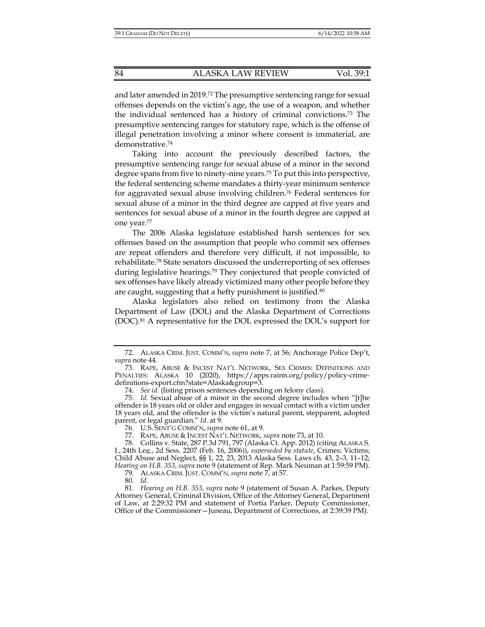and later amended in 2019.72 The presumptive sentencing range for sexual offenses depends on the victim's age, the use of a weapon, and whether the individual sentenced has a history of criminal convictions.73 The presumptive sentencing ranges for statutory rape, which is the offense of illegal penetration involving a minor where consent is immaterial, are demonstrative.74

Taking into account the previously described factors, the presumptive sentencing range for sexual abuse of a minor in the second degree spans from five to ninety-nine years.75 To put this into perspective, the federal sentencing scheme mandates a thirty-year minimum sentence for aggravated sexual abuse involving children.76 Federal sentences for sexual abuse of a minor in the third degree are capped at five years and sentences for sexual abuse of a minor in the fourth degree are capped at one year.77

The 2006 Alaska legislature established harsh sentences for sex offenses based on the assumption that people who commit sex offenses are repeat offenders and therefore very difficult, if not impossible, to rehabilitate.78 State senators discussed the underreporting of sex offenses during legislative hearings.79 They conjectured that people convicted of sex offenses have likely already victimized many other people before they are caught, suggesting that a hefty punishment is justified.<sup>80</sup>

Alaska legislators also relied on testimony from the Alaska Department of Law (DOL) and the Alaska Department of Corrections (DOC).81 A representative for the DOL expressed the DOL's support for

 78. Collins v. State, 287 P.3d 791, 797 (Alaska Ct. App. 2012) (citing ALASKA S. J., 24th Leg., 2d Sess. 2207 (Feb. 16, 2006)), *superseded by statute*, Crimes; Victims; Child Abuse and Neglect, §§ 1, 22, 23, 2013 Alaska Sess. Laws ch. 43, 2–3, 11–12; *Hearing on H.B. 353*, *supra* note 9 (statement of Rep. Mark Neuman at 1:59:59 PM).

79. ALASKA CRIM. JUST. COMM'N, *supra* note 7, at 57.

80. *Id.*

 <sup>72.</sup> ALASKA CRIM. JUST. COMM'N, *supra* note 7, at 56; Anchorage Police Dep't, *supra* note 44.

 <sup>73.</sup> RAPE, ABUSE & INCEST NAT'L NETWORK, SEX CRIMES: DEFINITIONS AND PENALTIES: ALASKA 10 (2020), https://apps.rainn.org/policy/policy-crimedefinitions-export.cfm?state=Alaska&group=3.

 <sup>74.</sup> *See id.* (listing prison sentences depending on felony class).

 <sup>75.</sup> *Id.* Sexual abuse of a minor in the second degree includes when "[t]he offender is 18 years old or older and engages in sexual contact with a victim under 18 years old, and the offender is the victim's natural parent, stepparent, adopted parent, or legal guardian." *Id.* at 9.

 <sup>76.</sup> U.S. SENT'G COMM'N, *supra* note 61, at 9.

 <sup>77.</sup> RAPE, ABUSE & INCEST NAT'L NETWORK, *supra* note 73, at 10.

 <sup>81.</sup> *Hearing on H.B. 353*, *supra* note 9 (statement of Susan A. Parkes, Deputy Attorney General, Criminal Division, Office of the Attorney General, Department of Law, at 2:29:32 PM and statement of Portia Parker, Deputy Commissioner, Office of the Commissioner—Juneau, Department of Corrections, at 2:39:39 PM).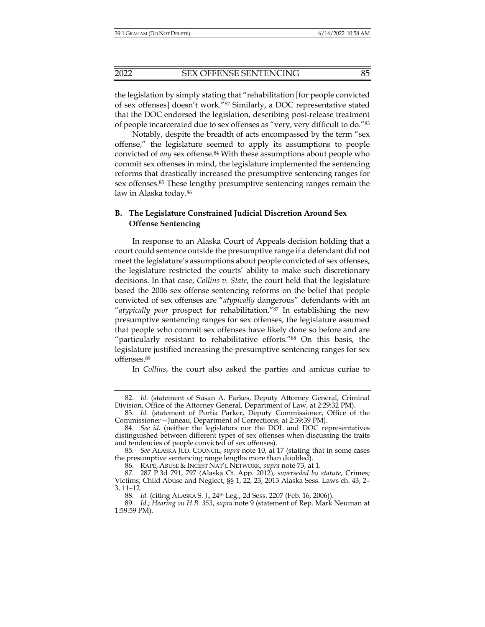the legislation by simply stating that "rehabilitation [for people convicted of sex offenses] doesn't work."82 Similarly, a DOC representative stated that the DOC endorsed the legislation, describing post-release treatment of people incarcerated due to sex offenses as "very, very difficult to do."83

Notably, despite the breadth of acts encompassed by the term "sex offense," the legislature seemed to apply its assumptions to people convicted of *any* sex offense.<sup>84</sup> With these assumptions about people who commit sex offenses in mind, the legislature implemented the sentencing reforms that drastically increased the presumptive sentencing ranges for sex offenses.85 These lengthy presumptive sentencing ranges remain the law in Alaska today.86

## **B. The Legislature Constrained Judicial Discretion Around Sex Offense Sentencing**

In response to an Alaska Court of Appeals decision holding that a court could sentence outside the presumptive range if a defendant did not meet the legislature's assumptions about people convicted of sex offenses, the legislature restricted the courts' ability to make such discretionary decisions. In that case, *Collins v. State*, the court held that the legislature based the 2006 sex offense sentencing reforms on the belief that people convicted of sex offenses are "*atypically* dangerous" defendants with an "*atypically poor* prospect for rehabilitation."87 In establishing the new presumptive sentencing ranges for sex offenses, the legislature assumed that people who commit sex offenses have likely done so before and are "particularly resistant to rehabilitative efforts."88 On this basis, the legislature justified increasing the presumptive sentencing ranges for sex offenses.89

In *Collins*, the court also asked the parties and amicus curiae to

86. RAPE, ABUSE & INCEST NAT'L NETWORK, *supra* note 73, at 1.

 <sup>82.</sup> *Id.* (statement of Susan A. Parkes, Deputy Attorney General, Criminal Division, Office of the Attorney General, Department of Law, at 2:29:32 PM).

 <sup>83.</sup> *Id.* (statement of Portia Parker, Deputy Commissioner, Office of the Commissioner—Juneau, Department of Corrections, at 2:39:39 PM).

 <sup>84.</sup> *See id.* (neither the legislators nor the DOL and DOC representatives distinguished between different types of sex offenses when discussing the traits and tendencies of people convicted of sex offenses).

 <sup>85.</sup> *See* ALASKA JUD. COUNCIL, *supra* note 10, at 17 (stating that in some cases the presumptive sentencing range lengths more than doubled).

 <sup>87. 287</sup> P.3d 791, 797 (Alaska Ct. App. 2012), *superseded by statute*, Crimes; Victims; Child Abuse and Neglect, §§ 1, 22, 23, 2013 Alaska Sess. Laws ch. 43, 2– 3, 11–12.

 <sup>88.</sup> *Id.* (citing ALASKA S. J., 24th Leg., 2d Sess. 2207 (Feb. 16, 2006)).

 <sup>89.</sup> *Id.*; *Hearing on H.B. 353*, *supra* note 9 (statement of Rep. Mark Neuman at 1:59:59 PM).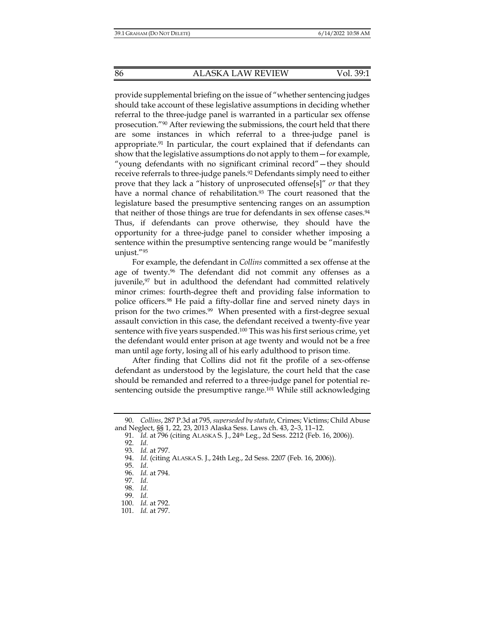provide supplemental briefing on the issue of "whether sentencing judges should take account of these legislative assumptions in deciding whether referral to the three-judge panel is warranted in a particular sex offense prosecution."90 After reviewing the submissions, the court held that there are some instances in which referral to a three-judge panel is appropriate.<sup>91</sup> In particular, the court explained that if defendants can show that the legislative assumptions do not apply to them—for example, "young defendants with no significant criminal record"—they should receive referrals to three-judge panels.<sup>92</sup> Defendants simply need to either prove that they lack a "history of unprosecuted offense[s]" *or* that they have a normal chance of rehabilitation.<sup>93</sup> The court reasoned that the legislature based the presumptive sentencing ranges on an assumption that neither of those things are true for defendants in sex offense cases.<sup>94</sup> Thus, if defendants can prove otherwise, they should have the opportunity for a three-judge panel to consider whether imposing a sentence within the presumptive sentencing range would be "manifestly unjust."95

For example, the defendant in *Collins* committed a sex offense at the age of twenty.96 The defendant did not commit any offenses as a juvenile, $97$  but in adulthood the defendant had committed relatively minor crimes: fourth-degree theft and providing false information to police officers.98 He paid a fifty-dollar fine and served ninety days in prison for the two crimes.99 When presented with a first-degree sexual assault conviction in this case, the defendant received a twenty-five year sentence with five years suspended.<sup>100</sup> This was his first serious crime, yet the defendant would enter prison at age twenty and would not be a free man until age forty, losing all of his early adulthood to prison time.

After finding that Collins did not fit the profile of a sex-offense defendant as understood by the legislature, the court held that the case should be remanded and referred to a three-judge panel for potential resentencing outside the presumptive range.<sup>101</sup> While still acknowledging

 <sup>90.</sup> *Collins*, 287 P.3d at 795, *superseded by statute*, Crimes; Victims; Child Abuse and Neglect, §§ 1, 22, 23, 2013 Alaska Sess. Laws ch. 43, 2–3, 11–12.

 <sup>91.</sup> *Id.* at 796 (citing ALASKA S. J., 24th Leg., 2d Sess. 2212 (Feb. 16, 2006)).

 <sup>92.</sup> *Id.*

 <sup>93.</sup> *Id.* at 797.

 <sup>94.</sup> *Id.* (citing ALASKA S. J., 24th Leg., 2d Sess. 2207 (Feb. 16, 2006)).

 <sup>95.</sup> *Id*.

 <sup>96.</sup> *Id.* at 794.

 <sup>97.</sup> *Id.*

 <sup>98.</sup> *Id.*

 <sup>99.</sup> *Id.*

 <sup>100.</sup> *Id.* at 792. 101. *Id.* at 797.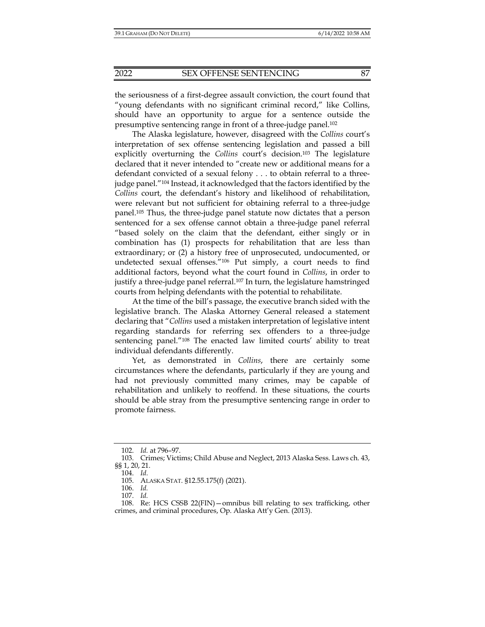the seriousness of a first-degree assault conviction, the court found that "young defendants with no significant criminal record," like Collins, should have an opportunity to argue for a sentence outside the presumptive sentencing range in front of a three-judge panel.102

The Alaska legislature, however, disagreed with the *Collins* court's interpretation of sex offense sentencing legislation and passed a bill explicitly overturning the *Collins* court's decision.103 The legislature declared that it never intended to "create new or additional means for a defendant convicted of a sexual felony . . . to obtain referral to a threejudge panel."104 Instead, it acknowledged that the factors identified by the *Collins* court, the defendant's history and likelihood of rehabilitation, were relevant but not sufficient for obtaining referral to a three-judge panel.105 Thus, the three-judge panel statute now dictates that a person sentenced for a sex offense cannot obtain a three-judge panel referral "based solely on the claim that the defendant, either singly or in combination has (1) prospects for rehabilitation that are less than extraordinary; or (2) a history free of unprosecuted, undocumented, or undetected sexual offenses."106 Put simply, a court needs to find additional factors, beyond what the court found in *Collins*, in order to justify a three-judge panel referral.107 In turn, the legislature hamstringed courts from helping defendants with the potential to rehabilitate.

At the time of the bill's passage, the executive branch sided with the legislative branch. The Alaska Attorney General released a statement declaring that "*Collins* used a mistaken interpretation of legislative intent regarding standards for referring sex offenders to a three-judge sentencing panel."108 The enacted law limited courts' ability to treat individual defendants differently.

Yet, as demonstrated in *Collins*, there are certainly some circumstances where the defendants, particularly if they are young and had not previously committed many crimes, may be capable of rehabilitation and unlikely to reoffend. In these situations, the courts should be able stray from the presumptive sentencing range in order to promote fairness.

 <sup>102.</sup> *Id.* at 796–97.

 <sup>103.</sup> Crimes; Victims; Child Abuse and Neglect, 2013 Alaska Sess. Laws ch. 43, §§ 1, 20, 21.

 <sup>104.</sup> *Id.*

 <sup>105.</sup> ALASKA STAT. §12.55.175(f) (2021).

 <sup>106.</sup> *Id.* 

 <sup>107.</sup> *Id.* 

 <sup>108.</sup> Re: HCS CSSB 22(FIN)—omnibus bill relating to sex trafficking, other crimes, and criminal procedures, Op. Alaska Att'y Gen. (2013).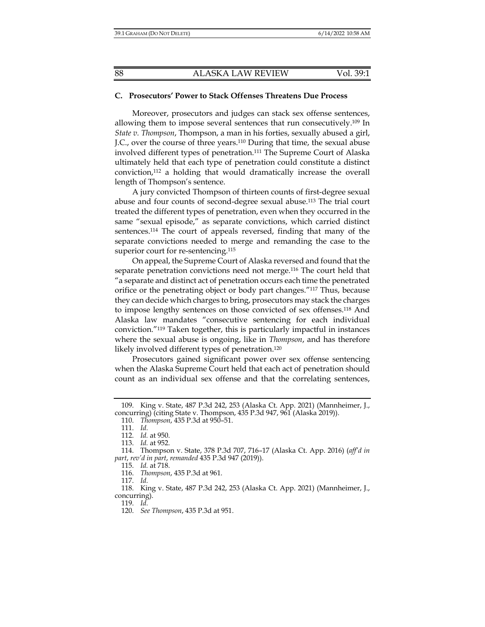#### **C. Prosecutors' Power to Stack Offenses Threatens Due Process**

Moreover, prosecutors and judges can stack sex offense sentences, allowing them to impose several sentences that run consecutively.<sup>109</sup> In *State v. Thompson*, Thompson, a man in his forties, sexually abused a girl, J.C., over the course of three years.110 During that time, the sexual abuse involved different types of penetration.111 The Supreme Court of Alaska ultimately held that each type of penetration could constitute a distinct conviction,112 a holding that would dramatically increase the overall length of Thompson's sentence.

A jury convicted Thompson of thirteen counts of first-degree sexual abuse and four counts of second-degree sexual abuse.113 The trial court treated the different types of penetration, even when they occurred in the same "sexual episode," as separate convictions, which carried distinct sentences.114 The court of appeals reversed, finding that many of the separate convictions needed to merge and remanding the case to the superior court for re-sentencing.<sup>115</sup>

On appeal, the Supreme Court of Alaska reversed and found that the separate penetration convictions need not merge.116 The court held that "a separate and distinct act of penetration occurs each time the penetrated orifice or the penetrating object or body part changes."117 Thus, because they can decide which charges to bring, prosecutors may stack the charges to impose lengthy sentences on those convicted of sex offenses.118 And Alaska law mandates "consecutive sentencing for each individual conviction."119 Taken together, this is particularly impactful in instances where the sexual abuse is ongoing, like in *Thompson*, and has therefore likely involved different types of penetration.<sup>120</sup>

Prosecutors gained significant power over sex offense sentencing when the Alaska Supreme Court held that each act of penetration should count as an individual sex offense and that the correlating sentences,

110. *Thompson*, 435 P.3d at 950–51.

117. *Id.*

119. *Id.*

 <sup>109.</sup> King v. State, 487 P.3d 242, 253 (Alaska Ct. App. 2021) (Mannheimer, J., concurring) (citing State v. Thompson, 435 P.3d 947, 961 (Alaska 2019)).

 <sup>111.</sup> *Id.*

 <sup>112.</sup> *Id.* at 950.

 <sup>113.</sup> *Id.* at 952.

 <sup>114.</sup> Thompson v. State, 378 P.3d 707, 716–17 (Alaska Ct. App. 2016) (*aff'd in part*, *rev'd in part*, *remanded* 435 P.3d 947 (2019)).

 <sup>115.</sup> *Id.* at 718.

 <sup>116.</sup> *Thompson*, 435 P.3d at 961.

 <sup>118.</sup> King v. State, 487 P.3d 242, 253 (Alaska Ct. App. 2021) (Mannheimer, J., concurring).

 <sup>120.</sup> *See Thompson*, 435 P.3d at 951.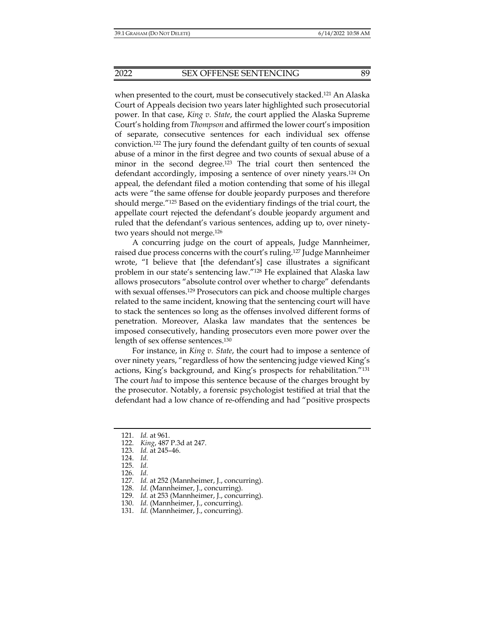when presented to the court, must be consecutively stacked.<sup>121</sup> An Alaska Court of Appeals decision two years later highlighted such prosecutorial power. In that case, *King v. State*, the court applied the Alaska Supreme Court's holding from *Thompson* and affirmed the lower court's imposition of separate, consecutive sentences for each individual sex offense conviction.122 The jury found the defendant guilty of ten counts of sexual abuse of a minor in the first degree and two counts of sexual abuse of a minor in the second degree.123 The trial court then sentenced the defendant accordingly, imposing a sentence of over ninety years.124 On appeal, the defendant filed a motion contending that some of his illegal acts were "the same offense for double jeopardy purposes and therefore should merge."125 Based on the evidentiary findings of the trial court, the appellate court rejected the defendant's double jeopardy argument and ruled that the defendant's various sentences, adding up to, over ninetytwo years should not merge.126

A concurring judge on the court of appeals, Judge Mannheimer, raised due process concerns with the court's ruling.127 Judge Mannheimer wrote, "I believe that [the defendant's] case illustrates a significant problem in our state's sentencing law."128 He explained that Alaska law allows prosecutors "absolute control over whether to charge" defendants with sexual offenses.<sup>129</sup> Prosecutors can pick and choose multiple charges related to the same incident, knowing that the sentencing court will have to stack the sentences so long as the offenses involved different forms of penetration. Moreover, Alaska law mandates that the sentences be imposed consecutively, handing prosecutors even more power over the length of sex offense sentences.130

For instance, in *King v. State*, the court had to impose a sentence of over ninety years, "regardless of how the sentencing judge viewed King's actions, King's background, and King's prospects for rehabilitation."131 The court *had* to impose this sentence because of the charges brought by the prosecutor. Notably, a forensic psychologist testified at trial that the defendant had a low chance of re-offending and had "positive prospects

- 128. *Id.* (Mannheimer, J., concurring).
- 129. *Id.* at 253 (Mannheimer, J., concurring).
- 130. *Id.* (Mannheimer, J., concurring).
- 131. *Id.* (Mannheimer, J., concurring).

 <sup>121.</sup> *Id.* at 961.

 <sup>122.</sup> *King*, 487 P.3d at 247.

 <sup>123.</sup> *Id.* at 245–46.

 <sup>124.</sup> *Id.*

 <sup>125.</sup> *Id.*

 <sup>126.</sup> *Id.*

 <sup>127.</sup> *Id.* at 252 (Mannheimer, J., concurring).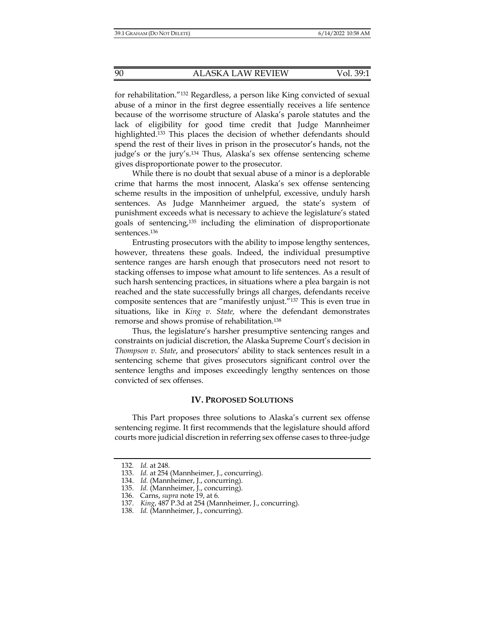for rehabilitation."132 Regardless, a person like King convicted of sexual abuse of a minor in the first degree essentially receives a life sentence because of the worrisome structure of Alaska's parole statutes and the lack of eligibility for good time credit that Judge Mannheimer highlighted.<sup>133</sup> This places the decision of whether defendants should spend the rest of their lives in prison in the prosecutor's hands, not the judge's or the jury's.134 Thus, Alaska's sex offense sentencing scheme gives disproportionate power to the prosecutor.

While there is no doubt that sexual abuse of a minor is a deplorable crime that harms the most innocent, Alaska's sex offense sentencing scheme results in the imposition of unhelpful, excessive, unduly harsh sentences. As Judge Mannheimer argued, the state's system of punishment exceeds what is necessary to achieve the legislature's stated goals of sentencing,135 including the elimination of disproportionate sentences<sup>136</sup>

Entrusting prosecutors with the ability to impose lengthy sentences, however, threatens these goals. Indeed, the individual presumptive sentence ranges are harsh enough that prosecutors need not resort to stacking offenses to impose what amount to life sentences. As a result of such harsh sentencing practices, in situations where a plea bargain is not reached and the state successfully brings all charges, defendants receive composite sentences that are "manifestly unjust."137 This is even true in situations, like in *King v. State,* where the defendant demonstrates remorse and shows promise of rehabilitation.138

Thus, the legislature's harsher presumptive sentencing ranges and constraints on judicial discretion, the Alaska Supreme Court's decision in *Thompson v. State*, and prosecutors' ability to stack sentences result in a sentencing scheme that gives prosecutors significant control over the sentence lengths and imposes exceedingly lengthy sentences on those convicted of sex offenses.

#### **IV. PROPOSED SOLUTIONS**

This Part proposes three solutions to Alaska's current sex offense sentencing regime. It first recommends that the legislature should afford courts more judicial discretion in referring sex offense cases to three-judge

 <sup>132.</sup> *Id.* at 248.

 <sup>133.</sup> *Id.* at 254 (Mannheimer, J., concurring).

 <sup>134.</sup> *Id.* (Mannheimer, J., concurring).

 <sup>135.</sup> *Id.* (Mannheimer, J., concurring).

 <sup>136.</sup> Carns, *supra* note 19, at 6.

 <sup>137.</sup> *King*, 487 P.3d at 254 (Mannheimer, J., concurring).

 <sup>138.</sup> *Id.* (Mannheimer, J., concurring).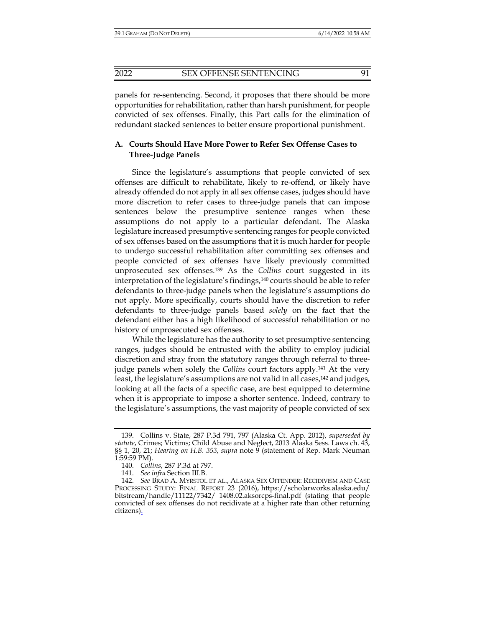panels for re-sentencing. Second, it proposes that there should be more opportunities for rehabilitation, rather than harsh punishment, for people convicted of sex offenses. Finally, this Part calls for the elimination of redundant stacked sentences to better ensure proportional punishment.

# **A. Courts Should Have More Power to Refer Sex Offense Cases to Three-Judge Panels**

Since the legislature's assumptions that people convicted of sex offenses are difficult to rehabilitate, likely to re-offend, or likely have already offended do not apply in all sex offense cases, judges should have more discretion to refer cases to three-judge panels that can impose sentences below the presumptive sentence ranges when these assumptions do not apply to a particular defendant. The Alaska legislature increased presumptive sentencing ranges for people convicted of sex offenses based on the assumptions that it is much harder for people to undergo successful rehabilitation after committing sex offenses and people convicted of sex offenses have likely previously committed unprosecuted sex offenses.139 As the *Collins* court suggested in its interpretation of the legislature's findings,<sup>140</sup> courts should be able to refer defendants to three-judge panels when the legislature's assumptions do not apply. More specifically, courts should have the discretion to refer defendants to three-judge panels based *solely* on the fact that the defendant either has a high likelihood of successful rehabilitation or no history of unprosecuted sex offenses.

While the legislature has the authority to set presumptive sentencing ranges, judges should be entrusted with the ability to employ judicial discretion and stray from the statutory ranges through referral to threejudge panels when solely the *Collins* court factors apply.141 At the very least, the legislature's assumptions are not valid in all cases,<sup>142</sup> and judges, looking at all the facts of a specific case, are best equipped to determine when it is appropriate to impose a shorter sentence. Indeed, contrary to the legislature's assumptions, the vast majority of people convicted of sex

 <sup>139.</sup> Collins v. State, 287 P.3d 791, 797 (Alaska Ct. App. 2012), *superseded by statute*, Crimes; Victims; Child Abuse and Neglect, 2013 Alaska Sess. Laws ch. 43, §§ 1, 20, 21; *Hearing on H.B. 353*, *supra* note 9 (statement of Rep. Mark Neuman 1:59:59 PM).

 <sup>140.</sup> *Collins*, 287 P.3d at 797.

 <sup>141.</sup> *See infra* Section III.B.

 <sup>142.</sup> *See* BRAD A. MYRSTOL ET AL., ALASKA SEX OFFENDER: RECIDIVISM AND CASE PROCESSING STUDY: FINAL REPORT 23 (2016), https://scholarworks.alaska.edu/ bitstream/handle/11122/7342/ 1408.02.aksorcps-final.pdf (stating that people convicted of sex offenses do not recidivate at a higher rate than other returning citizens).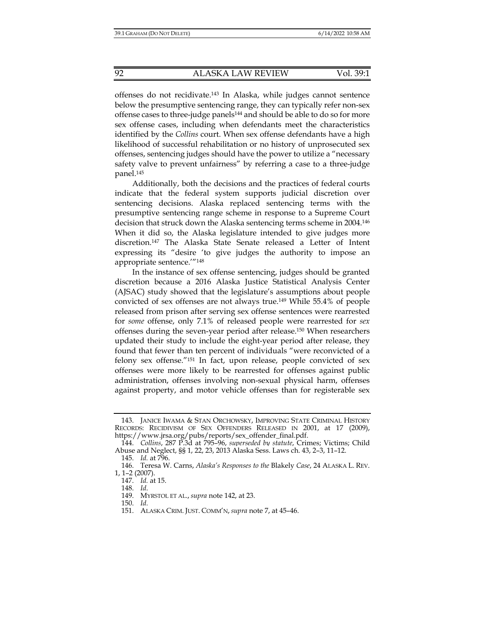offenses do not recidivate.143 In Alaska, while judges cannot sentence below the presumptive sentencing range, they can typically refer non-sex offense cases to three-judge panels144 and should be able to do so for more sex offense cases, including when defendants meet the characteristics identified by the *Collins* court. When sex offense defendants have a high likelihood of successful rehabilitation or no history of unprosecuted sex offenses, sentencing judges should have the power to utilize a "necessary safety valve to prevent unfairness" by referring a case to a three-judge panel.145

Additionally, both the decisions and the practices of federal courts indicate that the federal system supports judicial discretion over sentencing decisions. Alaska replaced sentencing terms with the presumptive sentencing range scheme in response to a Supreme Court decision that struck down the Alaska sentencing terms scheme in 2004.146 When it did so, the Alaska legislature intended to give judges more discretion.147 The Alaska State Senate released a Letter of Intent expressing its "desire 'to give judges the authority to impose an appropriate sentence.'"148

In the instance of sex offense sentencing, judges should be granted discretion because a 2016 Alaska Justice Statistical Analysis Center (AJSAC) study showed that the legislature's assumptions about people convicted of sex offenses are not always true.149 While 55.4% of people released from prison after serving sex offense sentences were rearrested for *some* offense, only 7.1% of released people were rearrested for *sex* offenses during the seven-year period after release.150 When researchers updated their study to include the eight-year period after release, they found that fewer than ten percent of individuals "were reconvicted of a felony sex offense."151 In fact, upon release, people convicted of sex offenses were more likely to be rearrested for offenses against public administration, offenses involving non-sexual physical harm, offenses against property, and motor vehicle offenses than for registerable sex

 <sup>143.</sup> JANICE IWAMA & STAN ORCHOWSKY, IMPROVING STATE CRIMINAL HISTORY RECORDS: RECIDIVISM OF SEX OFFENDERS RELEASED IN 2001, at 17 (2009), https://www.jrsa.org/pubs/reports/sex\_offender\_final.pdf.

 <sup>144.</sup> *Collins*, 287 P.3d at 795–96, *superseded by statute*, Crimes; Victims; Child Abuse and Neglect, §§ 1, 22, 23, 2013 Alaska Sess. Laws ch. 43, 2–3, 11–12.

 <sup>145.</sup> *Id.* at 796.

 <sup>146.</sup> Teresa W. Carns, *Alaska's Responses to the* Blakely *Case*, 24 ALASKA L. REV. 1, 1–2 (2007).

 <sup>147.</sup> *Id.* at 15.

 <sup>148.</sup> *Id*.

 <sup>149.</sup> MYRSTOL ET AL., *supra* note 142, at 23.

 <sup>150.</sup> *Id.*

 <sup>151.</sup> ALASKA CRIM. JUST. COMM'N, *supra* note 7, at 45–46.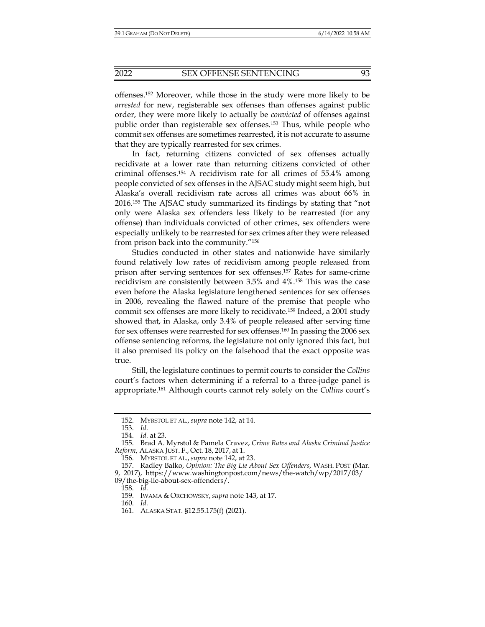offenses.152 Moreover, while those in the study were more likely to be *arrested* for new, registerable sex offenses than offenses against public order, they were more likely to actually be *convicted* of offenses against public order than registerable sex offenses.153 Thus, while people who commit sex offenses are sometimes rearrested, it is not accurate to assume that they are typically rearrested for sex crimes.

In fact, returning citizens convicted of sex offenses actually recidivate at a lower rate than returning citizens convicted of other criminal offenses.154 A recidivism rate for all crimes of 55.4% among people convicted of sex offenses in the AJSAC study might seem high, but Alaska's overall recidivism rate across all crimes was about 66% in 2016.155 The AJSAC study summarized its findings by stating that "not only were Alaska sex offenders less likely to be rearrested (for any offense) than individuals convicted of other crimes, sex offenders were especially unlikely to be rearrested for sex crimes after they were released from prison back into the community."156

Studies conducted in other states and nationwide have similarly found relatively low rates of recidivism among people released from prison after serving sentences for sex offenses.157 Rates for same-crime recidivism are consistently between 3.5% and 4%.158 This was the case even before the Alaska legislature lengthened sentences for sex offenses in 2006, revealing the flawed nature of the premise that people who commit sex offenses are more likely to recidivate.159 Indeed, a 2001 study showed that, in Alaska, only 3.4% of people released after serving time for sex offenses were rearrested for sex offenses.160 In passing the 2006 sex offense sentencing reforms, the legislature not only ignored this fact, but it also premised its policy on the falsehood that the exact opposite was true.

Still, the legislature continues to permit courts to consider the *Collins*  court's factors when determining if a referral to a three-judge panel is appropriate.161 Although courts cannot rely solely on the *Collins* court's

09/the-big-lie-about-sex-offenders/.

160. *Id.*

 <sup>152.</sup> MYRSTOL ET AL., *supra* note 142, at 14.

 <sup>153.</sup> *Id.*

 <sup>154.</sup> *Id.* at 23.

 <sup>155.</sup> Brad A. Myrstol & Pamela Cravez, *Crime Rates and Alaska Criminal Justice Reform*, ALASKA JUST. F., Oct. 18, 2017, at 1.

 <sup>156.</sup> MYRSTOL ET AL., *supra* note 142, at 23.

 <sup>157.</sup> Radley Balko, *Opinion: The Big Lie About Sex Offenders*, WASH. POST (Mar. 9, 2017), https://www.washingtonpost.com/news/the-watch/wp/2017/03/

 <sup>158.</sup> *Id.*

 <sup>159.</sup> IWAMA & ORCHOWSKY, *supra* note 143, at 17.

 <sup>161.</sup> ALASKA STAT. §12.55.175(f) (2021).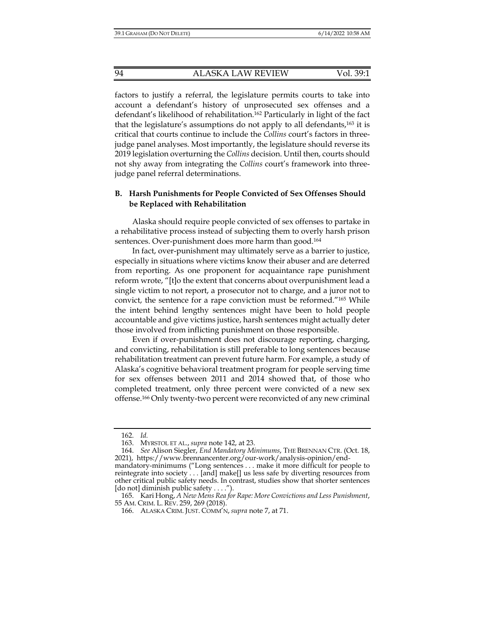factors to justify a referral, the legislature permits courts to take into account a defendant's history of unprosecuted sex offenses and a defendant's likelihood of rehabilitation.162 Particularly in light of the fact that the legislature's assumptions do not apply to all defendants,163 it is critical that courts continue to include the *Collins* court's factors in threejudge panel analyses. Most importantly, the legislature should reverse its 2019 legislation overturning the *Collins* decision. Until then, courts should not shy away from integrating the *Collins* court's framework into threejudge panel referral determinations.

## **B. Harsh Punishments for People Convicted of Sex Offenses Should be Replaced with Rehabilitation**

Alaska should require people convicted of sex offenses to partake in a rehabilitative process instead of subjecting them to overly harsh prison sentences. Over-punishment does more harm than good.<sup>164</sup>

In fact, over-punishment may ultimately serve as a barrier to justice, especially in situations where victims know their abuser and are deterred from reporting. As one proponent for acquaintance rape punishment reform wrote, "[t]o the extent that concerns about overpunishment lead a single victim to not report, a prosecutor not to charge, and a juror not to convict, the sentence for a rape conviction must be reformed."165 While the intent behind lengthy sentences might have been to hold people accountable and give victims justice, harsh sentences might actually deter those involved from inflicting punishment on those responsible.

Even if over-punishment does not discourage reporting, charging, and convicting, rehabilitation is still preferable to long sentences because rehabilitation treatment can prevent future harm. For example, a study of Alaska's cognitive behavioral treatment program for people serving time for sex offenses between 2011 and 2014 showed that, of those who completed treatment, only three percent were convicted of a new sex offense.166 Only twenty-two percent were reconvicted of any new criminal

 <sup>162.</sup> *Id.* 

 <sup>163.</sup> MYRSTOL ET AL., *supra* note 142, at 23.

 <sup>164.</sup> *See* Alison Siegler, *End Mandatory Minimums*, THE BRENNAN CTR. (Oct. 18, 2021), https://www.brennancenter.org/our-work/analysis-opinion/endmandatory-minimums ("Long sentences . . . make it more difficult for people to reintegrate into society . . . [and] make[] us less safe by diverting resources from other critical public safety needs. In contrast, studies show that shorter sentences [do not] diminish public safety . . . .").

 <sup>165.</sup> Kari Hong, *A New Mens Rea for Rape: More Convictions and Less Punishment*, 55 AM. CRIM. L. REV. 259, 269 (2018).

 <sup>166.</sup> ALASKA CRIM. JUST. COMM'N, *supra* note 7, at 71.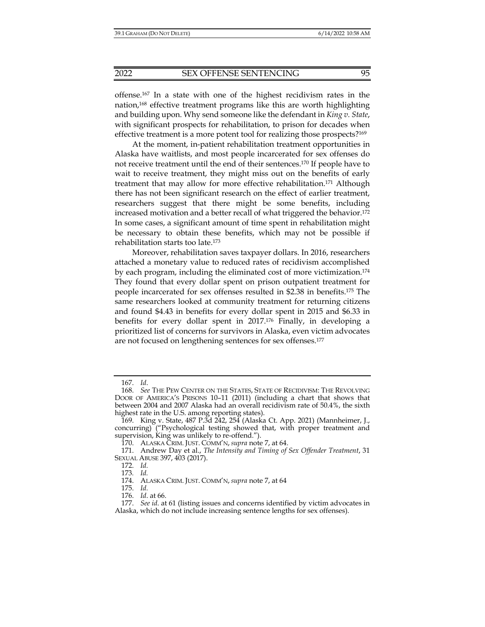offense.167 In a state with one of the highest recidivism rates in the nation,168 effective treatment programs like this are worth highlighting and building upon. Why send someone like the defendant in *King v. State*, with significant prospects for rehabilitation, to prison for decades when effective treatment is a more potent tool for realizing those prospects?169

At the moment, in-patient rehabilitation treatment opportunities in Alaska have waitlists, and most people incarcerated for sex offenses do not receive treatment until the end of their sentences.170 If people have to wait to receive treatment, they might miss out on the benefits of early treatment that may allow for more effective rehabilitation.171 Although there has not been significant research on the effect of earlier treatment, researchers suggest that there might be some benefits, including increased motivation and a better recall of what triggered the behavior.172 In some cases, a significant amount of time spent in rehabilitation might be necessary to obtain these benefits, which may not be possible if rehabilitation starts too late.173

Moreover, rehabilitation saves taxpayer dollars. In 2016, researchers attached a monetary value to reduced rates of recidivism accomplished by each program, including the eliminated cost of more victimization.174 They found that every dollar spent on prison outpatient treatment for people incarcerated for sex offenses resulted in \$2.38 in benefits.175 The same researchers looked at community treatment for returning citizens and found \$4.43 in benefits for every dollar spent in 2015 and \$6.33 in benefits for every dollar spent in 2017.176 Finally, in developing a prioritized list of concerns for survivors in Alaska, even victim advocates are not focused on lengthening sentences for sex offenses.177

 <sup>167.</sup> *Id*.

 <sup>168.</sup> *See* THE PEW CENTER ON THE STATES, STATE OF RECIDIVISM: THE REVOLVING DOOR OF AMERICA'S PRISONS 10–11 (2011) (including a chart that shows that between 2004 and 2007 Alaska had an overall recidivism rate of 50.4%, the sixth highest rate in the U.S. among reporting states).

 <sup>169.</sup> King v. State, 487 P.3d 242, 254 (Alaska Ct. App. 2021) (Mannheimer, J., concurring) ("Psychological testing showed that, with proper treatment and supervision, King was unlikely to re-offend.").

 <sup>170.</sup> ALASKA CRIM. JUST. COMM'N, *supra* note 7, at 64.

 <sup>171.</sup> Andrew Day et al., *The Intensity and Timing of Sex Offender Treatment*, 31 SEXUAL ABUSE 397, 403 (2017).

 <sup>172.</sup> *Id.*

<sup>173</sup>*. Id.*

 <sup>174.</sup> ALASKA CRIM. JUST. COMM'N, *supra* note 7, at 64

 <sup>175.</sup> *Id.*

 <sup>176.</sup> *Id*. at 66.

 <sup>177.</sup> *See id*. at 61 (listing issues and concerns identified by victim advocates in Alaska, which do not include increasing sentence lengths for sex offenses).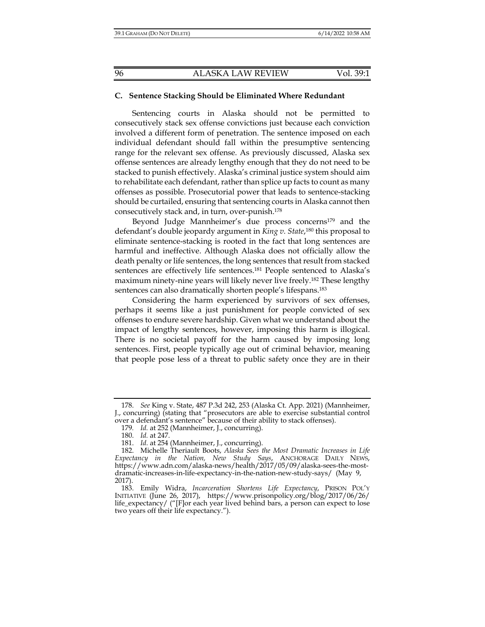#### **C. Sentence Stacking Should be Eliminated Where Redundant**

Sentencing courts in Alaska should not be permitted to consecutively stack sex offense convictions just because each conviction involved a different form of penetration. The sentence imposed on each individual defendant should fall within the presumptive sentencing range for the relevant sex offense. As previously discussed, Alaska sex offense sentences are already lengthy enough that they do not need to be stacked to punish effectively. Alaska's criminal justice system should aim to rehabilitate each defendant, rather than splice up facts to count as many offenses as possible. Prosecutorial power that leads to sentence-stacking should be curtailed, ensuring that sentencing courts in Alaska cannot then consecutively stack and, in turn, over-punish.178

Beyond Judge Mannheimer's due process concerns<sup>179</sup> and the defendant's double jeopardy argument in *King v. State*, 180 this proposal to eliminate sentence-stacking is rooted in the fact that long sentences are harmful and ineffective. Although Alaska does not officially allow the death penalty or life sentences, the long sentences that result from stacked sentences are effectively life sentences.<sup>181</sup> People sentenced to Alaska's maximum ninety-nine years will likely never live freely.182 These lengthy sentences can also dramatically shorten people's lifespans.<sup>183</sup>

Considering the harm experienced by survivors of sex offenses, perhaps it seems like a just punishment for people convicted of sex offenses to endure severe hardship. Given what we understand about the impact of lengthy sentences, however, imposing this harm is illogical. There is no societal payoff for the harm caused by imposing long sentences. First, people typically age out of criminal behavior, meaning that people pose less of a threat to public safety once they are in their

 <sup>178.</sup> *See* King v. State, 487 P.3d 242, 253 (Alaska Ct. App. 2021) (Mannheimer, J., concurring) (stating that "prosecutors are able to exercise substantial control over a defendant's sentence" because of their ability to stack offenses).

<sup>179</sup>*. Id.* at 252 (Mannheimer, J., concurring).

 <sup>180.</sup> *Id.* at 247.

 <sup>181.</sup> *Id.* at 254 (Mannheimer, J., concurring).

 <sup>182.</sup> Michelle Theriault Boots, *Alaska Sees the Most Dramatic Increases in Life Expectancy in the Nation, New Study Says*, ANCHORAGE DAILY NEWS, https://www.adn.com/alaska-news/health/2017/05/09/alaska-sees-the-mostdramatic-increases-in-life-expectancy-in-the-nation-new-study-says/ (May 9, 2017).

 <sup>183.</sup> Emily Widra, *Incarceration Shortens Life Expectancy*, PRISON POL'Y INITIATIVE (June 26, 2017), https://www.prisonpolicy.org/blog/2017/06/26/ life\_expectancy/ ("[F]or each year lived behind bars, a person can expect to lose two years off their life expectancy.").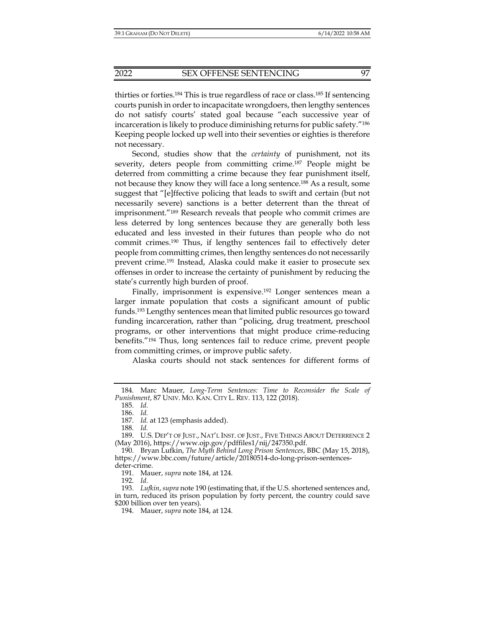thirties or forties.184 This is true regardless of race or class.185 If sentencing courts punish in order to incapacitate wrongdoers, then lengthy sentences do not satisfy courts' stated goal because "each successive year of incarceration is likely to produce diminishing returns for public safety."186 Keeping people locked up well into their seventies or eighties is therefore not necessary.

Second, studies show that the *certainty* of punishment, not its severity, deters people from committing crime.187 People might be deterred from committing a crime because they fear punishment itself, not because they know they will face a long sentence.188 As a result, some suggest that "[e]ffective policing that leads to swift and certain (but not necessarily severe) sanctions is a better deterrent than the threat of imprisonment."189 Research reveals that people who commit crimes are less deterred by long sentences because they are generally both less educated and less invested in their futures than people who do not commit crimes.190 Thus, if lengthy sentences fail to effectively deter people from committing crimes, then lengthy sentences do not necessarily prevent crime.191 Instead, Alaska could make it easier to prosecute sex offenses in order to increase the certainty of punishment by reducing the state's currently high burden of proof.

Finally, imprisonment is expensive.<sup>192</sup> Longer sentences mean a larger inmate population that costs a significant amount of public funds.193 Lengthy sentences mean that limited public resources go toward funding incarceration, rather than "policing, drug treatment, preschool programs, or other interventions that might produce crime-reducing benefits."194 Thus, long sentences fail to reduce crime, prevent people from committing crimes, or improve public safety.

Alaska courts should not stack sentences for different forms of

185. *Id.*

186. *Id.* 

188. *Id.* 

191. Mauer, *supra* note 184, at 124.

192. *Id.*

194. Mauer, *supra* note 184, at 124.

 <sup>184.</sup> Marc Mauer, *Long-Term Sentences: Time to Reconsider the Scale of Punishment*, 87 UNIV. MO. KAN. CITY L. REV. 113, 122 (2018).

 <sup>187.</sup> *Id.* at 123 (emphasis added).

 <sup>189.</sup> U.S. DEP'T OF JUST., NAT'L INST. OF JUST., FIVE THINGS ABOUT DETERRENCE 2 (May 2016), https://www.ojp.gov/pdffiles1/nij/247350.pdf.

 <sup>190.</sup> Bryan Lufkin, *The Myth Behind Long Prison Sentences*, BBC (May 15, 2018), https://www.bbc.com/future/article/20180514-do-long-prison-sentencesdeter-crime.

 <sup>193.</sup> *Lufkin*, *supra* note 190 (estimating that, if the U.S. shortened sentences and, in turn, reduced its prison population by forty percent, the country could save \$200 billion over ten years).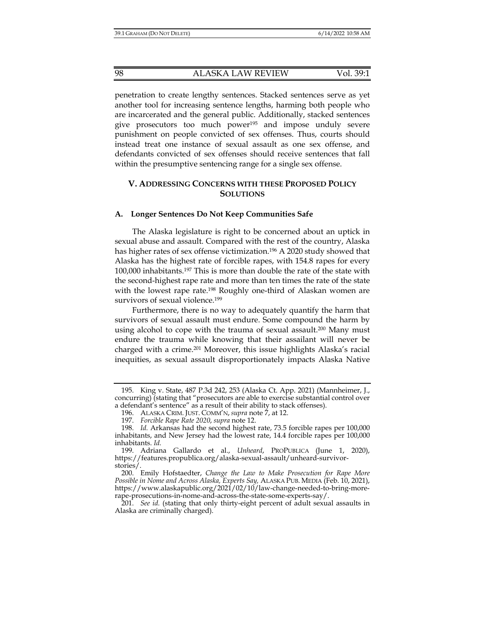penetration to create lengthy sentences. Stacked sentences serve as yet another tool for increasing sentence lengths, harming both people who are incarcerated and the general public. Additionally, stacked sentences give prosecutors too much power195 and impose unduly severe punishment on people convicted of sex offenses. Thus, courts should instead treat one instance of sexual assault as one sex offense, and defendants convicted of sex offenses should receive sentences that fall within the presumptive sentencing range for a single sex offense.

# **V. ADDRESSING CONCERNS WITH THESE PROPOSED POLICY SOLUTIONS**

#### **A. Longer Sentences Do Not Keep Communities Safe**

The Alaska legislature is right to be concerned about an uptick in sexual abuse and assault. Compared with the rest of the country, Alaska has higher rates of sex offense victimization.<sup>196</sup> A 2020 study showed that Alaska has the highest rate of forcible rapes, with 154.8 rapes for every 100,000 inhabitants.197 This is more than double the rate of the state with the second-highest rape rate and more than ten times the rate of the state with the lowest rape rate.<sup>198</sup> Roughly one-third of Alaskan women are survivors of sexual violence.<sup>199</sup>

Furthermore, there is no way to adequately quantify the harm that survivors of sexual assault must endure. Some compound the harm by using alcohol to cope with the trauma of sexual assault.<sup>200</sup> Many must endure the trauma while knowing that their assailant will never be charged with a crime.201 Moreover, this issue highlights Alaska's racial inequities, as sexual assault disproportionately impacts Alaska Native

 <sup>195.</sup> King v. State, 487 P.3d 242, 253 (Alaska Ct. App. 2021) (Mannheimer, J., concurring) (stating that "prosecutors are able to exercise substantial control over a defendant's sentence" as a result of their ability to stack offenses).

 <sup>196.</sup> ALASKA CRIM. JUST. COMM'N, *supra* note 7, at 12.

 <sup>197.</sup> *Forcible Rape Rate 2020*, *supra* note 12.

 <sup>198.</sup> *Id.* Arkansas had the second highest rate, 73.5 forcible rapes per 100,000 inhabitants, and New Jersey had the lowest rate, 14.4 forcible rapes per 100,000 inhabitants. *Id.* 

 <sup>199.</sup> Adriana Gallardo et al., *Unheard*, PROPUBLICA (June 1, 2020), https://features.propublica.org/alaska-sexual-assault/unheard-survivorstories/.

 <sup>200.</sup> Emily Hofstaedter, *Change the Law to Make Prosecution for Rape More Possible in Nome and Across Alaska, Experts Say,* ALASKA PUB. MEDIA (Feb. 10, 2021), https://www.alaskapublic.org/2021/02/10/law-change-needed-to-bring-morerape-prosecutions-in-nome-and-across-the-state-some-experts-say/.

 <sup>201.</sup> *See id.* (stating that only thirty-eight percent of adult sexual assaults in Alaska are criminally charged).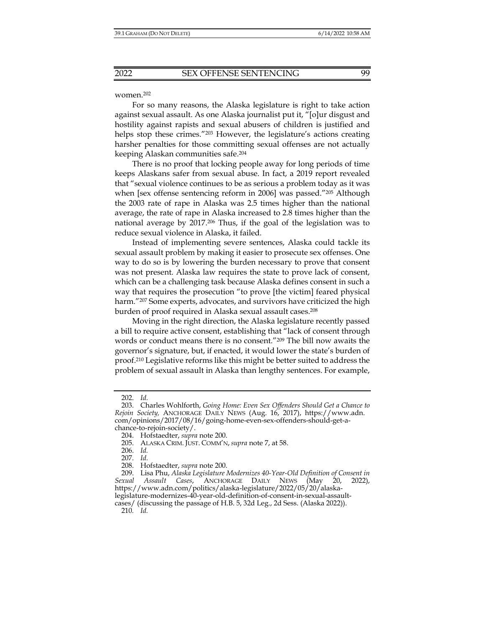#### women.202

For so many reasons, the Alaska legislature is right to take action against sexual assault. As one Alaska journalist put it, "[o]ur disgust and hostility against rapists and sexual abusers of children is justified and helps stop these crimes."203 However, the legislature's actions creating harsher penalties for those committing sexual offenses are not actually keeping Alaskan communities safe.204

There is no proof that locking people away for long periods of time keeps Alaskans safer from sexual abuse. In fact, a 2019 report revealed that "sexual violence continues to be as serious a problem today as it was when [sex offense sentencing reform in 2006] was passed.<sup>"205</sup> Although the 2003 rate of rape in Alaska was 2.5 times higher than the national average, the rate of rape in Alaska increased to 2.8 times higher than the national average by 2017.206 Thus, if the goal of the legislation was to reduce sexual violence in Alaska, it failed.

Instead of implementing severe sentences, Alaska could tackle its sexual assault problem by making it easier to prosecute sex offenses. One way to do so is by lowering the burden necessary to prove that consent was not present. Alaska law requires the state to prove lack of consent, which can be a challenging task because Alaska defines consent in such a way that requires the prosecution "to prove [the victim] feared physical harm."<sup>207</sup> Some experts, advocates, and survivors have criticized the high burden of proof required in Alaska sexual assault cases.208

Moving in the right direction, the Alaska legislature recently passed a bill to require active consent, establishing that "lack of consent through words or conduct means there is no consent."209 The bill now awaits the governor's signature, but, if enacted, it would lower the state's burden of proof.210 Legislative reforms like this might be better suited to address the problem of sexual assault in Alaska than lengthy sentences. For example,

 <sup>202.</sup> *Id.*

 <sup>203.</sup> Charles Wohlforth, *Going Home: Even Sex Offenders Should Get a Chance to Rejoin Society,* ANCHORAGE DAILY NEWS (Aug. 16, 2017), https://www.adn. com/opinions/2017/08/16/going-home-even-sex-offenders-should-get-achance-to-rejoin-society/.

 <sup>204.</sup> Hofstaedter, *supra* note 200.

 <sup>205.</sup> ALASKA CRIM. JUST. COMM'N, *supra* note 7, at 58.

 <sup>206.</sup> *Id.* 

 <sup>207.</sup> *Id.*

 <sup>208.</sup> Hofstaedter, *supra* note 200.

 <sup>209.</sup> Lisa Phu, *Alaska Legislature Modernizes 40-Year-Old Definition of Consent in Sexual Assault Cases*, ANCHORAGE DAILY NEWS (May 20, 2022), https://www.adn.com/politics/alaska-legislature/2022/05/20/alaskalegislature-modernizes-40-year-old-definition-of-consent-in-sexual-assaultcases/ (discussing the passage of H.B. 5, 32d Leg., 2d Sess. (Alaska 2022)).

<sup>210</sup>*. Id.*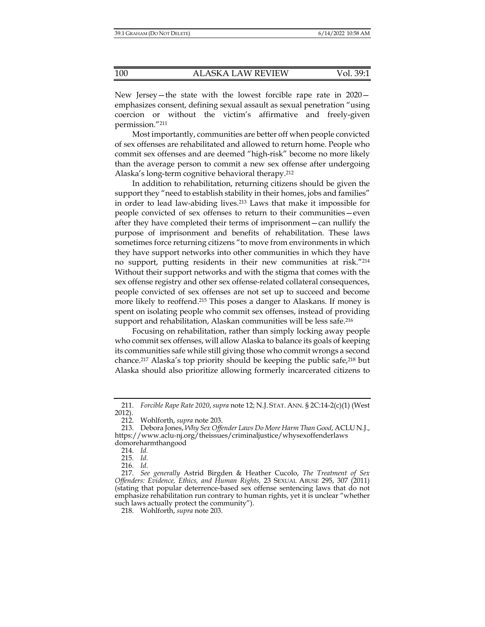New Jersey—the state with the lowest forcible rape rate in 2020 emphasizes consent, defining sexual assault as sexual penetration "using coercion or without the victim's affirmative and freely-given permission."211

Most importantly, communities are better off when people convicted of sex offenses are rehabilitated and allowed to return home. People who commit sex offenses and are deemed "high-risk" become no more likely than the average person to commit a new sex offense after undergoing Alaska's long-term cognitive behavioral therapy.212

In addition to rehabilitation, returning citizens should be given the support they "need to establish stability in their homes, jobs and families" in order to lead law-abiding lives.213 Laws that make it impossible for people convicted of sex offenses to return to their communities—even after they have completed their terms of imprisonment—can nullify the purpose of imprisonment and benefits of rehabilitation. These laws sometimes force returning citizens "to move from environments in which they have support networks into other communities in which they have no support, putting residents in their new communities at risk."214 Without their support networks and with the stigma that comes with the sex offense registry and other sex offense-related collateral consequences, people convicted of sex offenses are not set up to succeed and become more likely to reoffend.215 This poses a danger to Alaskans. If money is spent on isolating people who commit sex offenses, instead of providing support and rehabilitation, Alaskan communities will be less safe.<sup>216</sup>

Focusing on rehabilitation, rather than simply locking away people who commit sex offenses, will allow Alaska to balance its goals of keeping its communities safe while still giving those who commit wrongs a second chance.217 Alaska's top priority should be keeping the public safe,218 but Alaska should also prioritize allowing formerly incarcerated citizens to

 <sup>211.</sup> *Forcible Rape Rate 2020*, *supra* note 12; N.J. STAT. ANN. § 2C:14-2(c)(1) (West 2012).

 <sup>212.</sup> Wohlforth, *supra* note 203.

 <sup>213.</sup> Debora Jones, *Why Sex Offender Laws Do More Harm Than Good*, ACLU N.J., https://www.aclu-nj.org/theissues/criminaljustice/whysexoffenderlaws domoreharmthangood

 <sup>214.</sup> *Id.* 

 <sup>215.</sup> *Id.*

 <sup>216.</sup> *Id.*

 <sup>217.</sup> *See generally* Astrid Birgden & Heather Cucolo, *The Treatment of Sex Offenders: Evidence, Ethics, and Human Rights,* 23 SEXUAL ABUSE 295, 307 (2011) (stating that popular deterrence-based sex offense sentencing laws that do not emphasize rehabilitation run contrary to human rights, yet it is unclear "whether such laws actually protect the community").

 <sup>218.</sup> Wohlforth, *supra* note 203.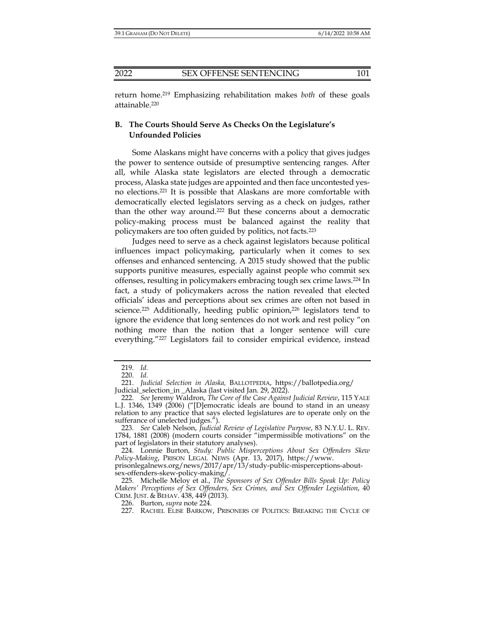return home.219 Emphasizing rehabilitation makes *both* of these goals attainable.220

# **B. The Courts Should Serve As Checks On the Legislature's Unfounded Policies**

Some Alaskans might have concerns with a policy that gives judges the power to sentence outside of presumptive sentencing ranges. After all, while Alaska state legislators are elected through a democratic process, Alaska state judges are appointed and then face uncontested yesno elections.221 It is possible that Alaskans are more comfortable with democratically elected legislators serving as a check on judges, rather than the other way around.222 But these concerns about a democratic policy-making process must be balanced against the reality that policymakers are too often guided by politics, not facts.223

Judges need to serve as a check against legislators because political influences impact policymaking, particularly when it comes to sex offenses and enhanced sentencing. A 2015 study showed that the public supports punitive measures, especially against people who commit sex offenses, resulting in policymakers embracing tough sex crime laws.224 In fact, a study of policymakers across the nation revealed that elected officials' ideas and perceptions about sex crimes are often not based in science.<sup>225</sup> Additionally, heeding public opinion,<sup>226</sup> legislators tend to ignore the evidence that long sentences do not work and rest policy "on nothing more than the notion that a longer sentence will cure everything."227 Legislators fail to consider empirical evidence, instead

 <sup>219.</sup> *Id.*

 <sup>220.</sup> *Id.*

 <sup>221.</sup> *Judicial Selection in Alaska,* BALLOTPEDIA, https://ballotpedia.org/ Judicial\_selection\_in \_Alaska (last visited Jan. 29, 2022).

 <sup>222.</sup> *See* Jeremy Waldron, *The Core of the Case Against Judicial Review*, 115 YALE L.J. 1346, 1349 (2006) ("[D]emocratic ideals are bound to stand in an uneasy relation to any practice that says elected legislatures are to operate only on the sufferance of unelected judges.").

 <sup>223.</sup> *See* Caleb Nelson, *Judicial Review of Legislative Purpose*, 83 N.Y.U. L. REV. 1784, 1881 (2008) (modern courts consider "impermissible motivations" on the part of legislators in their statutory analyses).

 <sup>224.</sup> Lonnie Burton, *Study: Public Misperceptions About Sex Offenders Skew Policy-Making*, PRISON LEGAL NEWS (Apr. 13, 2017), https://www.

prisonlegalnews.org/news/2017/apr/13/study-public-misperceptions-aboutsex-offenders-skew-policy-making/.

 <sup>225.</sup> Michelle Meloy et al., *The Sponsors of Sex Offender Bills Speak Up: Policy Makers' Perceptions of Sex Offenders, Sex Crimes, and Sex Offender Legislation*, 40 CRIM. JUST. & BEHAV. 438, 449 (2013).

 <sup>226.</sup> Burton, *supra* note 224.

 <sup>227.</sup> RACHEL ELISE BARKOW, PRISONERS OF POLITICS: BREAKING THE CYCLE OF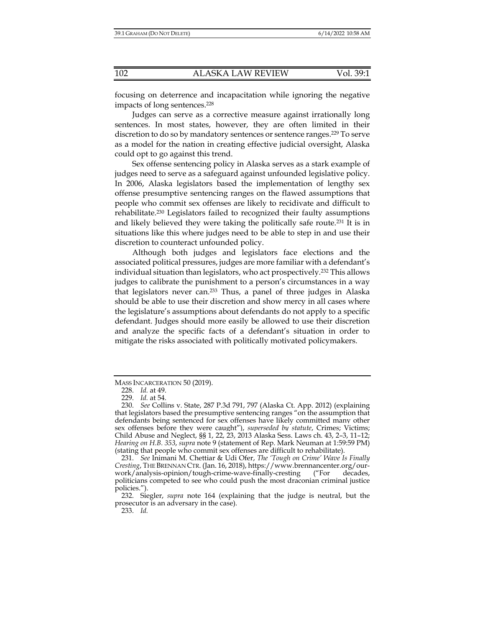focusing on deterrence and incapacitation while ignoring the negative impacts of long sentences.228

Judges can serve as a corrective measure against irrationally long sentences. In most states, however, they are often limited in their discretion to do so by mandatory sentences or sentence ranges.<sup>229</sup> To serve as a model for the nation in creating effective judicial oversight, Alaska could opt to go against this trend.

Sex offense sentencing policy in Alaska serves as a stark example of judges need to serve as a safeguard against unfounded legislative policy. In 2006, Alaska legislators based the implementation of lengthy sex offense presumptive sentencing ranges on the flawed assumptions that people who commit sex offenses are likely to recidivate and difficult to rehabilitate.230 Legislators failed to recognized their faulty assumptions and likely believed they were taking the politically safe route.231 It is in situations like this where judges need to be able to step in and use their discretion to counteract unfounded policy.

Although both judges and legislators face elections and the associated political pressures, judges are more familiar with a defendant's individual situation than legislators, who act prospectively.232 This allows judges to calibrate the punishment to a person's circumstances in a way that legislators never can.233 Thus, a panel of three judges in Alaska should be able to use their discretion and show mercy in all cases where the legislature's assumptions about defendants do not apply to a specific defendant. Judges should more easily be allowed to use their discretion and analyze the specific facts of a defendant's situation in order to mitigate the risks associated with politically motivated policymakers.

MASS INCARCERATION 50 (2019).

 <sup>228.</sup> *Id.* at 49.

 <sup>229.</sup> *Id.* at 54.

 <sup>230.</sup> *See* Collins v. State, 287 P.3d 791, 797 (Alaska Ct. App. 2012) (explaining that legislators based the presumptive sentencing ranges "on the assumption that defendants being sentenced for sex offenses have likely committed many other sex offenses before they were caught"), *superseded by statute*, Crimes; Victims; Child Abuse and Neglect, §§ 1, 22, 23, 2013 Alaska Sess. Laws ch. 43, 2–3, 11–12; *Hearing on H.B. 353*, *supra* note 9 (statement of Rep. Mark Neuman at 1:59:59 PM) (stating that people who commit sex offenses are difficult to rehabilitate).

 <sup>231.</sup> *See* Inimani M. Chettiar & Udi Ofer, *The 'Tough on Crime' Wave Is Finally Cresting*, THE BRENNAN CTR. (Jan. 16, 2018), https://www.brennancenter.org/ourwork/analysis-opinion/tough-crime-wave-finally-cresting ("For decades, politicians competed to see who could push the most draconian criminal justice policies.").

 <sup>232.</sup> Siegler, *supra* note 164 (explaining that the judge is neutral, but the prosecutor is an adversary in the case).

 <sup>233.</sup> *Id.*